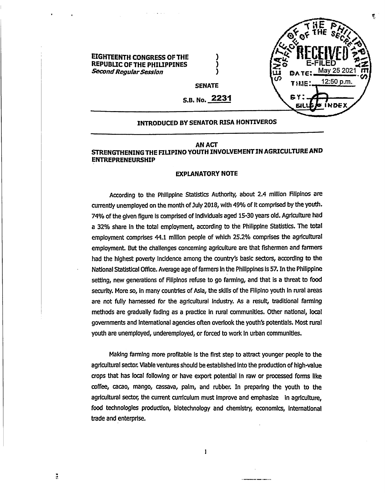

# **INTRODUCED BY SENATOR RISA HONTIVEROS**

## **AN ACT STRENGTHENINGTHE FILIPINO YOUTH INVOLVEMENTIN AGRICULTUREAND ENTREPRENEURSHIP**

#### **EXPLANATORY NOTE**

According to the Philippine Statistics Authority, about 2.4 million Rlipinos are currently unemployed on the month ofJuly 2018, with 49% of It comprised by the youth. 74% of the given figure is comprised of individuals aged 15-30 years old. Agriculture had a 32% share In the total employment, according to the Philippine Statistics. The total employment comprises 44.1 million people of which 25.2% comprises the agricultural employment. But the challenges concerning agriculture are that fishermen and farmers had the highest poverty incidence among the country's basic sectors, according to the National Statistical Office. Average age of farmers in the Philippines is 57. In the Philippine setting, new generations of Filipinos refuse to go farming, and that is a threat to food security. More so, in many countries of Asia, the skills of the Filipino youth in rural areas are not fully harnessed for the agricultural Industry. As a result, traditional farming methods are gradually fading as a practice in rural communities. Other national, local governments and International agencies often overlook the youth's potentials. Most rural youth are unemployed, underemployed, or forced to work In urban communities.

Making farming more profitable is the first step to attract younger people to the agricultural sector. Viable ventures should be established Into the production of high-value crops that has local following or have export potential In raw or processed forms like coffee, cacao, mango, cassava, palm, and rubber. In preparing the youth to the agricultural sector, the current curriculum must improve and emphasize in agriculture, food technologies production, biotechnology and chemistry, economics. International trade and enterprise.

 $\mathbf{I}$ 

 $\ddot{u}$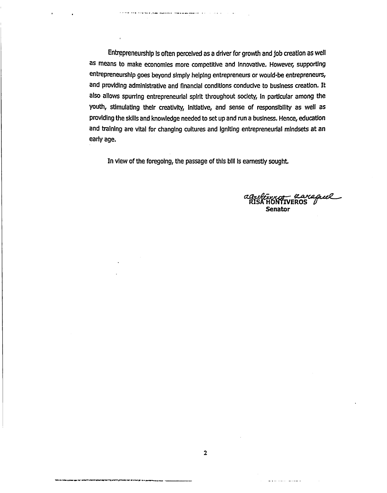Entrepreneurship Is often perceived as a driver for growth and job creation as well as means to make economies more competitive and Innovative. However, supporting entrepreneurship goes beyond simply helping entrepreneurs or would-be entrepreneurs, and providing administrative and financial conditions conducive to business creation. It also allows spurring entrepreneurial spirit throughout society, In particular among the youth, stimulating their creativity, Initiative, and sense of responsibility as well as providing the skills and knowledge needed to set up and run a business. Hence, education and training are vital for changing cultures and Igniting entrepreneurial mindsets at an early age.

.<br>The first term and a player every selection procedure of the first selection of the selection of the selection

 $\overline{1}$ 

In view of the foregoing, the passage of this bill is earnestly sought.

<del>r araguel</del><br>IVEROS **Senator**

وستحص للعادون وسا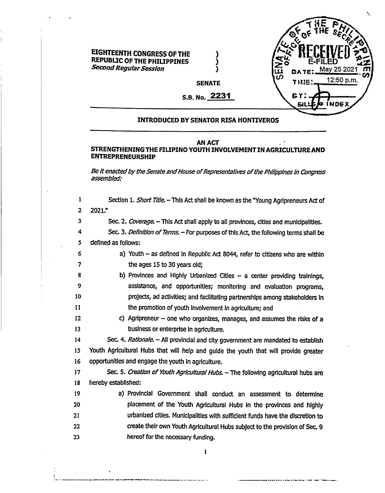

# **INTRODUCED BY SENATOR RISA HONTIVEROS**

## **AN ACT**

# **STRENGTHENING THE FILIPINO YOUTH INVOLVEMENT INAGRICULTUREAND ENTREPRENEURSHIP**

*Be Itenactedby theSenate andHouse ofRepresentatives ofthe Philippines in Congress assembled:*

 Section 1. *Short Title.-*This Act shall be known as the "Young Agripreneurs Act of 2 2021." 3 Sec. 2. *Coverage.* - This Act shall apply to all provinces, cities and municipalities. 4 Sec. 3. *Definition of Terms.* – For purposes of this Act, the following terms shall be defined as follows: a) Youth  $-$  as defined in Republic Act 8044, refer to citizens who are within 7 the ages 15 to 30 years old; 8 b) Provinces and Highly Urbanized Cities - a center providing trainings, assistance, and opportunities; monitoring and evaluation programs, projects, ad activities; and facilitating partnerships among stakeholders In the promotion of youth involvement in agriculture; and 12 c) Agripreneur - one who organizes, manages, and assumes the risks of a business or enterprise in agriculture. Sec. 4. *Rationale. -* Ali provincial and city government are mandated to establish Youth Agricultural Hubs that will help and guide the youth that will provide greater opportunities and engage the youth in agriculture. 17 Sec. 5. *Creation of Youth Agricultural Hubs.* - The following agricultural hubs are hereby established: a) Provincial Government shall conduct an assessment to determine placement of the Youth Agricultural Hubs in the provinces and highly urbanized cities. Municipalities with sufficient funds have the discretion to create their own Youth Agricultural Hubs subject to the provision of Sec. 9 hereof for the necessary funding.

1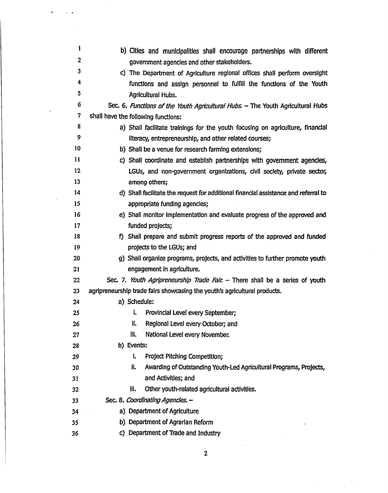| 1            | b) Cities and municipalities shall encourage partnerships with different            |
|--------------|-------------------------------------------------------------------------------------|
| $\mathbf{2}$ | government agencies and other stakeholders.                                         |
| 3            | c) The Department of Agriculture regional offices shall perform oversight           |
| 4            | functions and assign personnel to fulfill the functions of the Youth                |
| 5            | Agricultural Hubs.                                                                  |
| 6            | Sec. 6. Functions of the Youth Agricultural Hubs. - The Youth Agricultural Hubs     |
| 7            | shall have the following functions:                                                 |
| 8            | a) Shall facilitate trainings for the youth focusing on agriculture, financial      |
| 9            | literacy, entrepreneurship, and other related courses;                              |
| 10           | b) Shall be a venue for research farming extensions;                                |
| $\mathbf{1}$ | c) Shall coordinate and establish partnerships with government agencies,            |
| 12           | LGUs, and non-government organizations, civil society, private sector,              |
| 13           | among others;                                                                       |
| 14           | d) Shall facilitate the request for additional financial assistance and referral to |
| 15           | appropriate funding agencies;                                                       |
| 16           | e) Shall monitor implementation and evaluate progress of the approved and           |
| 17           | funded projects;                                                                    |
| 18           | f) Shall prepare and submit progress reports of the approved and funded             |
| 19           | projects to the LGUs; and                                                           |
| 20           | g) Shall organize programs, projects, and activities to further promote youth       |
| 21           | engagement in agriculture.                                                          |
| 22           | Sec. 7. Youth Agripreneurship Trade Fair. - There shall be a series of youth        |
| 23           | agripreneurship trade fairs showcasing the youth's agricultural products.           |
| 24           | a) Schedule:                                                                        |
| 25           | I.<br>Provincial Level every September;                                             |
| 26           | II.<br>Regional Level every October; and                                            |
| 27           | III.<br>National Level every November.                                              |
| 28           | b) Events:                                                                          |
| 29           | i.<br>Project Pitching Competition;                                                 |
| 30           | H.<br>Awarding of Outstanding Youth-Led Agricultural Programs, Projects,            |
| 31           | and Activities; and                                                                 |
| 32           | Other youth-related agricultural activities.<br>III.                                |
| 33           | Sec. 8. Coordinating Agencies. -                                                    |
| 34           | a) Department of Agriculture                                                        |
| 35           | b) Department of Agrarian Reform                                                    |
| 36           | c) Department of Trade and Industry                                                 |

 $\overline{\mathbf{c}}$